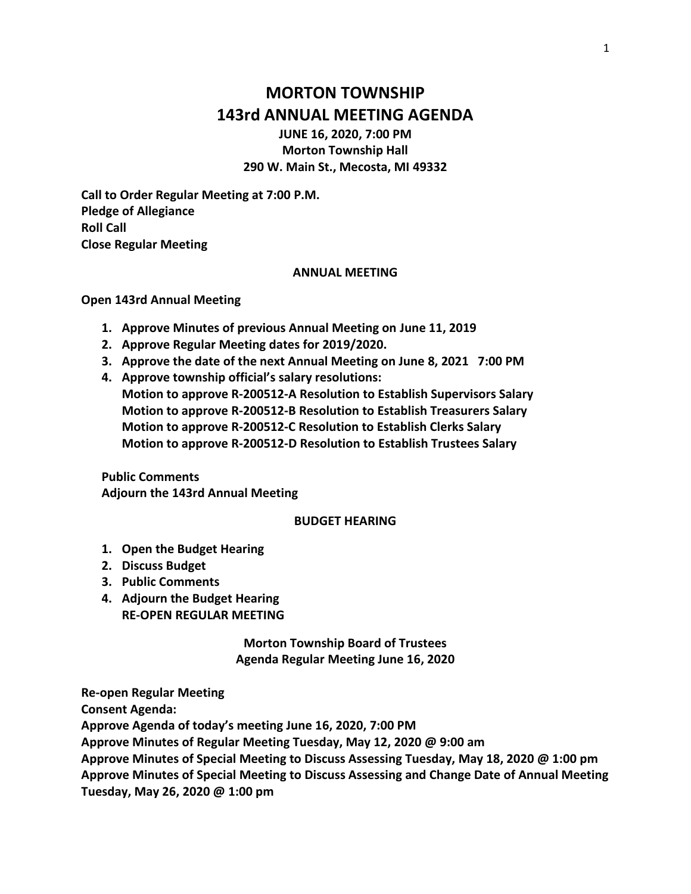# **MORTON TOWNSHIP 143rd ANNUAL MEETING AGENDA**

**JUNE 16, 2020, 7:00 PM Morton Township Hall 290 W. Main St., Mecosta, MI 49332**

**Call to Order Regular Meeting at 7:00 P.M. Pledge of Allegiance Roll Call Close Regular Meeting**

#### **ANNUAL MEETING**

#### **Open 143rd Annual Meeting**

- **1. Approve Minutes of previous Annual Meeting on June 11, 2019**
- **2. Approve Regular Meeting dates for 2019/2020.**
- **3. Approve the date of the next Annual Meeting on June 8, 2021 7:00 PM**
- **4. Approve township official's salary resolutions: Motion to approve R-200512-A Resolution to Establish Supervisors Salary Motion to approve R-200512-B Resolution to Establish Treasurers Salary Motion to approve R-200512-C Resolution to Establish Clerks Salary Motion to approve R-200512-D Resolution to Establish Trustees Salary**

**Public Comments Adjourn the 143rd Annual Meeting** 

### **BUDGET HEARING**

- **1. Open the Budget Hearing**
- **2. Discuss Budget**
- **3. Public Comments**
- **4. Adjourn the Budget Hearing RE-OPEN REGULAR MEETING**

**Morton Township Board of Trustees Agenda Regular Meeting June 16, 2020**

**Re-open Regular Meeting**

**Consent Agenda:**

**Approve Agenda of today's meeting June 16, 2020, 7:00 PM**

**Approve Minutes of Regular Meeting Tuesday, May 12, 2020 @ 9:00 am**

**Approve Minutes of Special Meeting to Discuss Assessing Tuesday, May 18, 2020 @ 1:00 pm Approve Minutes of Special Meeting to Discuss Assessing and Change Date of Annual Meeting Tuesday, May 26, 2020 @ 1:00 pm**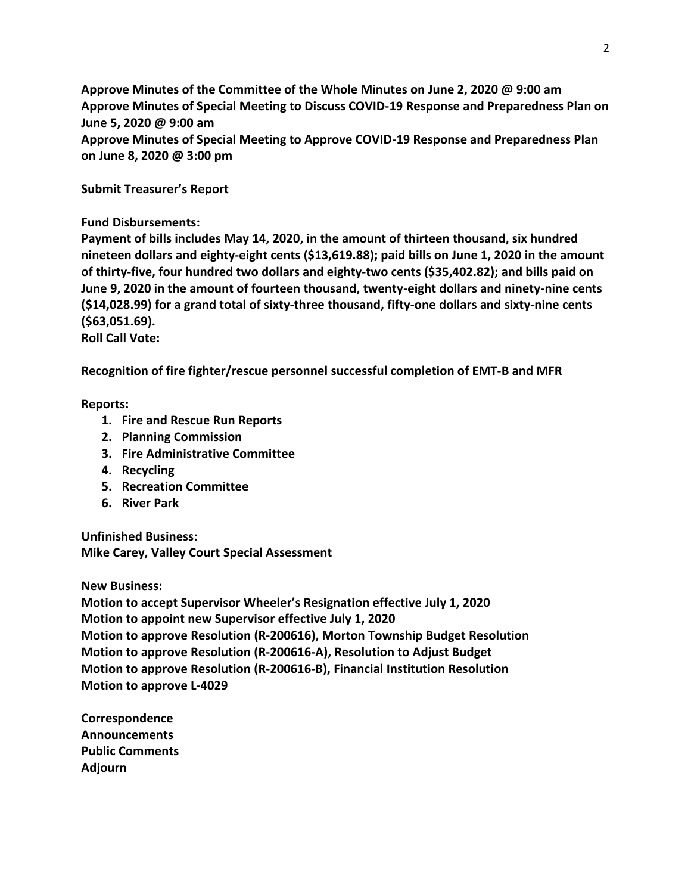**Approve Minutes of the Committee of the Whole Minutes on June 2, 2020 @ 9:00 am Approve Minutes of Special Meeting to Discuss COVID-19 Response and Preparedness Plan on June 5, 2020 @ 9:00 am Approve Minutes of Special Meeting to Approve COVID-19 Response and Preparedness Plan** 

**Submit Treasurer's Report**

**on June 8, 2020 @ 3:00 pm**

## **Fund Disbursements:**

**Payment of bills includes May 14, 2020, in the amount of thirteen thousand, six hundred nineteen dollars and eighty-eight cents (\$13,619.88); paid bills on June 1, 2020 in the amount of thirty-five, four hundred two dollars and eighty-two cents (\$35,402.82); and bills paid on June 9, 2020 in the amount of fourteen thousand, twenty-eight dollars and ninety-nine cents (\$14,028.99) for a grand total of sixty-three thousand, fifty-one dollars and sixty-nine cents (\$63,051.69).**

**Roll Call Vote:**

**Recognition of fire fighter/rescue personnel successful completion of EMT-B and MFR**

## **Reports:**

- **1. Fire and Rescue Run Reports**
- **2. Planning Commission**
- **3. Fire Administrative Committee**
- **4. Recycling**
- **5. Recreation Committee**
- **6. River Park**

**Unfinished Business: Mike Carey, Valley Court Special Assessment**

**New Business:** 

**Motion to accept Supervisor Wheeler's Resignation effective July 1, 2020 Motion to appoint new Supervisor effective July 1, 2020 Motion to approve Resolution (R-200616), Morton Township Budget Resolution Motion to approve Resolution (R-200616-A), Resolution to Adjust Budget Motion to approve Resolution (R-200616-B), Financial Institution Resolution Motion to approve L-4029**

**Correspondence Announcements Public Comments Adjourn**